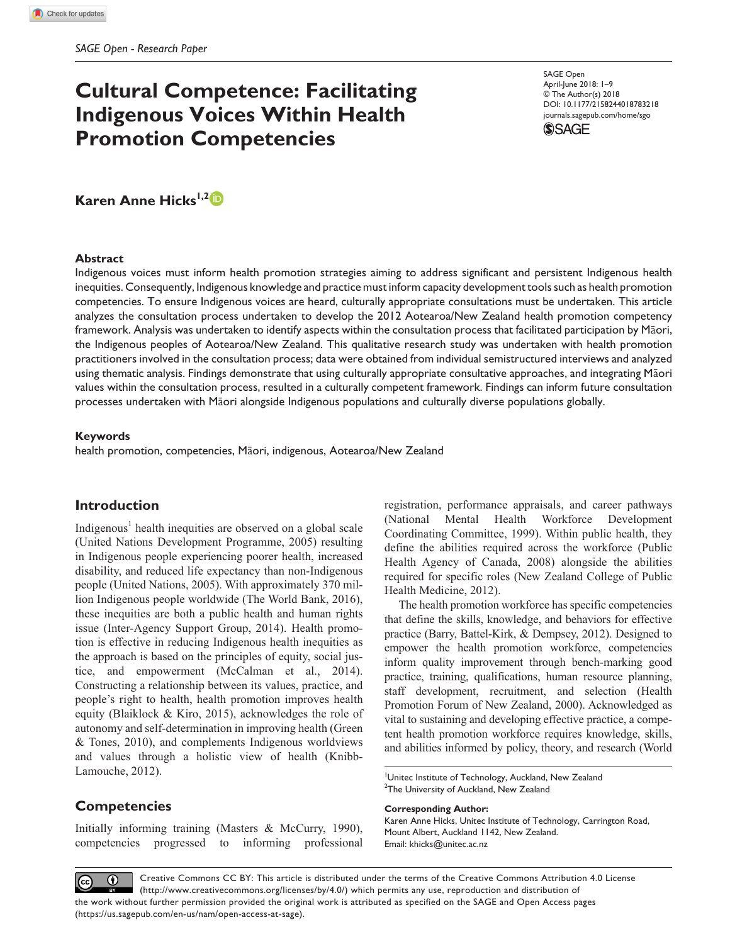# **Cultural Competence: Facilitating Indigenous Voices Within Health Promotion Competencies**

https://doi.org/10.1177/2158244018783218 DOI: 10.1177/2158244018783218 SAGE Open April-June 2018: 1–9 © The Author(s) 2018 [journals.sagepub.com/home/sgo](https://journals.sagepub.com/home/sgo)



**Karen Anne Hicks<sup>1,2</sup><sup>D</sup>** 

#### **Abstract**

Indigenous voices must inform health promotion strategies aiming to address significant and persistent Indigenous health inequities. Consequently, Indigenous knowledge and practice must inform capacity development tools such as health promotion competencies. To ensure Indigenous voices are heard, culturally appropriate consultations must be undertaken. This article analyzes the consultation process undertaken to develop the 2012 Aotearoa/New Zealand health promotion competency framework. Analysis was undertaken to identify aspects within the consultation process that facilitated participation by Māori, the Indigenous peoples of Aotearoa/New Zealand. This qualitative research study was undertaken with health promotion practitioners involved in the consultation process; data were obtained from individual semistructured interviews and analyzed using thematic analysis. Findings demonstrate that using culturally appropriate consultative approaches, and integrating Māori values within the consultation process, resulted in a culturally competent framework. Findings can inform future consultation processes undertaken with Māori alongside Indigenous populations and culturally diverse populations globally.

#### **Keywords**

health promotion, competencies, Māori, indigenous, Aotearoa/New Zealand

#### **Introduction**

Indigenous<sup>1</sup> health inequities are observed on a global scale (United Nations Development Programme, 2005) resulting in Indigenous people experiencing poorer health, increased disability, and reduced life expectancy than non-Indigenous people (United Nations, 2005). With approximately 370 million Indigenous people worldwide (The World Bank, 2016), these inequities are both a public health and human rights issue (Inter-Agency Support Group, 2014). Health promotion is effective in reducing Indigenous health inequities as the approach is based on the principles of equity, social justice, and empowerment (McCalman et al., 2014). Constructing a relationship between its values, practice, and people's right to health, health promotion improves health equity (Blaiklock & Kiro, 2015), acknowledges the role of autonomy and self-determination in improving health (Green & Tones, 2010), and complements Indigenous worldviews and values through a holistic view of health (Knibb-Lamouche, 2012).

# **Competencies**

Initially informing training (Masters & McCurry, 1990), competencies progressed to informing professional registration, performance appraisals, and career pathways (National Mental Health Workforce Development Coordinating Committee, 1999). Within public health, they define the abilities required across the workforce (Public Health Agency of Canada, 2008) alongside the abilities required for specific roles (New Zealand College of Public Health Medicine, 2012).

The health promotion workforce has specific competencies that define the skills, knowledge, and behaviors for effective practice (Barry, Battel-Kirk, & Dempsey, 2012). Designed to empower the health promotion workforce, competencies inform quality improvement through bench-marking good practice, training, qualifications, human resource planning, staff development, recruitment, and selection (Health Promotion Forum of New Zealand, 2000). Acknowledged as vital to sustaining and developing effective practice, a competent health promotion workforce requires knowledge, skills, and abilities informed by policy, theory, and research (World

<sup>1</sup>Unitec Institute of Technology, Auckland, New Zealand  $^{2}$ The University of Auckland, New Zealand

**Corresponding Author:**

Karen Anne Hicks, Unitec Institute of Technology, Carrington Road, Mount Albert, Auckland 1142, New Zealand. Email: khicks@unitec.ac.nz

Creative Commons CC BY: This article is distributed under the terms of the Creative Commons Attribution 4.0 License  $\odot$  $\left(\mathrm{cc}\right)$ (http://www.creativecommons.org/licenses/by/4.0/) which permits any use, reproduction and distribution of the work without further permission provided the original work is attributed as specified on the SAGE and Open Access pages (https://us.sagepub.com/en-us/nam/open-access-at-sage).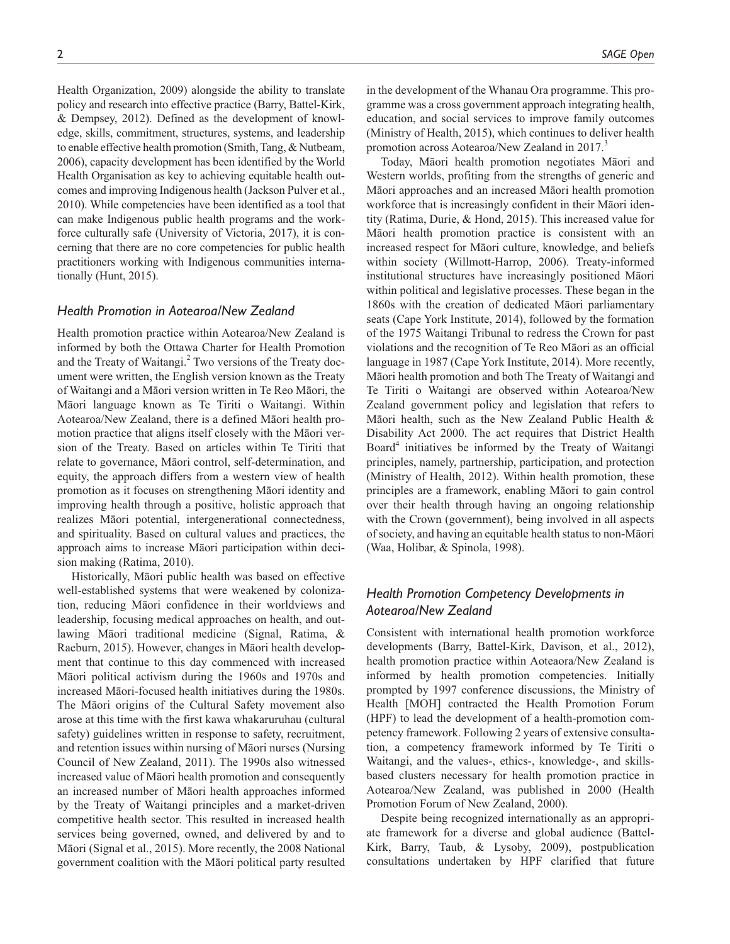Health Organization, 2009) alongside the ability to translate policy and research into effective practice (Barry, Battel-Kirk, & Dempsey, 2012). Defined as the development of knowledge, skills, commitment, structures, systems, and leadership to enable effective health promotion (Smith, Tang, & Nutbeam, 2006), capacity development has been identified by the World Health Organisation as key to achieving equitable health outcomes and improving Indigenous health (Jackson Pulver et al., 2010). While competencies have been identified as a tool that can make Indigenous public health programs and the workforce culturally safe (University of Victoria, 2017), it is concerning that there are no core competencies for public health practitioners working with Indigenous communities internationally (Hunt, 2015).

#### *Health Promotion in Aotearoa/New Zealand*

Health promotion practice within Aotearoa/New Zealand is informed by both the Ottawa Charter for Health Promotion and the Treaty of Waitangi.<sup>2</sup> Two versions of the Treaty document were written, the English version known as the Treaty of Waitangi and a Māori version written in Te Reo Māori, the Māori language known as Te Tiriti o Waitangi. Within Aotearoa/New Zealand, there is a defined Māori health promotion practice that aligns itself closely with the Māori version of the Treaty. Based on articles within Te Tiriti that relate to governance, Māori control, self-determination, and equity, the approach differs from a western view of health promotion as it focuses on strengthening Māori identity and improving health through a positive, holistic approach that realizes Māori potential, intergenerational connectedness, and spirituality. Based on cultural values and practices, the approach aims to increase Māori participation within decision making (Ratima, 2010).

Historically, Māori public health was based on effective well-established systems that were weakened by colonization, reducing Māori confidence in their worldviews and leadership, focusing medical approaches on health, and outlawing Māori traditional medicine (Signal, Ratima, & Raeburn, 2015). However, changes in Māori health development that continue to this day commenced with increased Māori political activism during the 1960s and 1970s and increased Māori-focused health initiatives during the 1980s. The Māori origins of the Cultural Safety movement also arose at this time with the first kawa whakaruruhau (cultural safety) guidelines written in response to safety, recruitment, and retention issues within nursing of Māori nurses (Nursing Council of New Zealand, 2011). The 1990s also witnessed increased value of Māori health promotion and consequently an increased number of Māori health approaches informed by the Treaty of Waitangi principles and a market-driven competitive health sector. This resulted in increased health services being governed, owned, and delivered by and to Māori (Signal et al., 2015). More recently, the 2008 National government coalition with the Māori political party resulted

in the development of the Whanau Ora programme. This programme was a cross government approach integrating health, education, and social services to improve family outcomes (Ministry of Health, 2015), which continues to deliver health promotion across Aotearoa/New Zealand in 2017.<sup>3</sup>

Today, Māori health promotion negotiates Māori and Western worlds, profiting from the strengths of generic and Māori approaches and an increased Māori health promotion workforce that is increasingly confident in their Māori identity (Ratima, Durie, & Hond, 2015). This increased value for Māori health promotion practice is consistent with an increased respect for Māori culture, knowledge, and beliefs within society (Willmott-Harrop, 2006). Treaty-informed institutional structures have increasingly positioned Māori within political and legislative processes. These began in the 1860s with the creation of dedicated Māori parliamentary seats (Cape York Institute, 2014), followed by the formation of the 1975 Waitangi Tribunal to redress the Crown for past violations and the recognition of Te Reo Māori as an official language in 1987 (Cape York Institute, 2014). More recently, Māori health promotion and both The Treaty of Waitangi and Te Tiriti o Waitangi are observed within Aotearoa/New Zealand government policy and legislation that refers to Māori health, such as the New Zealand Public Health & Disability Act 2000. The act requires that District Health Board<sup>4</sup> initiatives be informed by the Treaty of Waitangi principles, namely, partnership, participation, and protection (Ministry of Health, 2012). Within health promotion, these principles are a framework, enabling Māori to gain control over their health through having an ongoing relationship with the Crown (government), being involved in all aspects of society, and having an equitable health status to non-Māori (Waa, Holibar, & Spinola, 1998).

# *Health Promotion Competency Developments in Aotearoa/New Zealand*

Consistent with international health promotion workforce developments (Barry, Battel-Kirk, Davison, et al., 2012), health promotion practice within Aoteaora/New Zealand is informed by health promotion competencies. Initially prompted by 1997 conference discussions, the Ministry of Health [MOH] contracted the Health Promotion Forum (HPF) to lead the development of a health-promotion competency framework. Following 2 years of extensive consultation, a competency framework informed by Te Tiriti o Waitangi, and the values-, ethics-, knowledge-, and skillsbased clusters necessary for health promotion practice in Aotearoa/New Zealand, was published in 2000 (Health Promotion Forum of New Zealand, 2000).

Despite being recognized internationally as an appropriate framework for a diverse and global audience (Battel-Kirk, Barry, Taub, & Lysoby, 2009), postpublication consultations undertaken by HPF clarified that future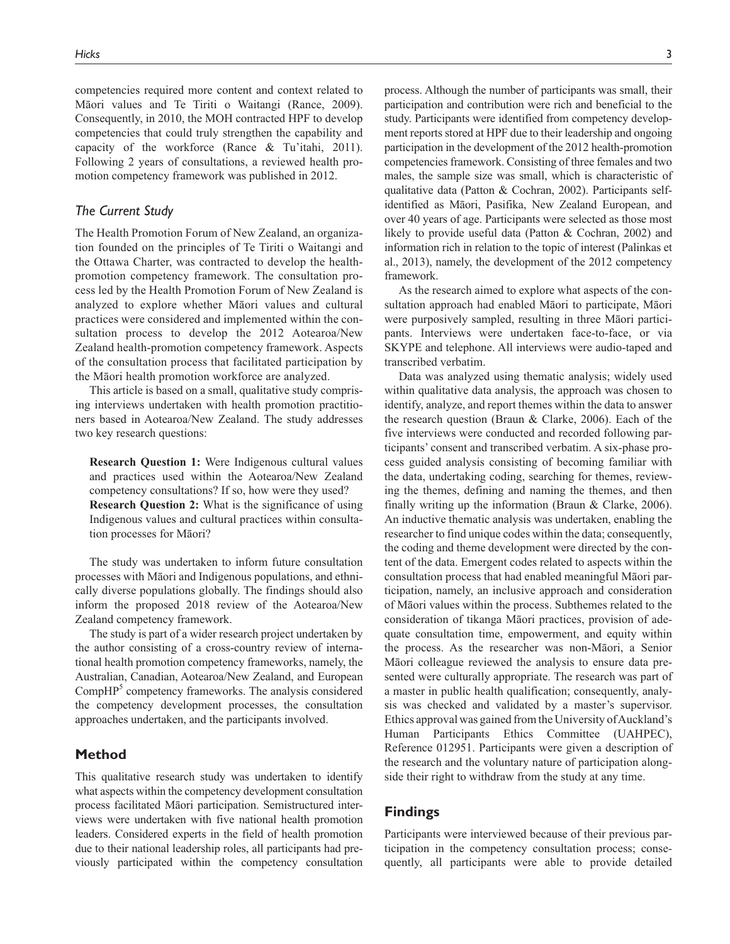competencies required more content and context related to Māori values and Te Tiriti o Waitangi (Rance, 2009). Consequently, in 2010, the MOH contracted HPF to develop competencies that could truly strengthen the capability and capacity of the workforce (Rance & Tu'itahi, 2011). Following 2 years of consultations, a reviewed health promotion competency framework was published in 2012.

#### *The Current Study*

The Health Promotion Forum of New Zealand, an organization founded on the principles of Te Tiriti o Waitangi and the Ottawa Charter, was contracted to develop the healthpromotion competency framework. The consultation process led by the Health Promotion Forum of New Zealand is analyzed to explore whether Māori values and cultural practices were considered and implemented within the consultation process to develop the 2012 Aotearoa/New Zealand health-promotion competency framework. Aspects of the consultation process that facilitated participation by the Māori health promotion workforce are analyzed.

This article is based on a small, qualitative study comprising interviews undertaken with health promotion practitioners based in Aotearoa/New Zealand. The study addresses two key research questions:

**Research Question 1:** Were Indigenous cultural values and practices used within the Aotearoa/New Zealand competency consultations? If so, how were they used? **Research Question 2:** What is the significance of using Indigenous values and cultural practices within consultation processes for Māori?

The study was undertaken to inform future consultation processes with Māori and Indigenous populations, and ethnically diverse populations globally. The findings should also inform the proposed 2018 review of the Aotearoa/New Zealand competency framework.

The study is part of a wider research project undertaken by the author consisting of a cross-country review of international health promotion competency frameworks, namely, the Australian, Canadian, Aotearoa/New Zealand, and European CompHP<sup>5</sup> competency frameworks. The analysis considered the competency development processes, the consultation approaches undertaken, and the participants involved.

## **Method**

This qualitative research study was undertaken to identify what aspects within the competency development consultation process facilitated Māori participation. Semistructured interviews were undertaken with five national health promotion leaders. Considered experts in the field of health promotion due to their national leadership roles, all participants had previously participated within the competency consultation

process. Although the number of participants was small, their participation and contribution were rich and beneficial to the study. Participants were identified from competency development reports stored at HPF due to their leadership and ongoing participation in the development of the 2012 health-promotion competencies framework. Consisting of three females and two males, the sample size was small, which is characteristic of qualitative data (Patton & Cochran, 2002). Participants selfidentified as Māori, Pasifika, New Zealand European, and over 40 years of age. Participants were selected as those most likely to provide useful data (Patton & Cochran, 2002) and information rich in relation to the topic of interest (Palinkas et al., 2013), namely, the development of the 2012 competency framework.

As the research aimed to explore what aspects of the consultation approach had enabled Māori to participate, Māori were purposively sampled, resulting in three Māori participants. Interviews were undertaken face-to-face, or via SKYPE and telephone. All interviews were audio-taped and transcribed verbatim.

Data was analyzed using thematic analysis; widely used within qualitative data analysis, the approach was chosen to identify, analyze, and report themes within the data to answer the research question (Braun & Clarke, 2006). Each of the five interviews were conducted and recorded following participants' consent and transcribed verbatim. A six-phase process guided analysis consisting of becoming familiar with the data, undertaking coding, searching for themes, reviewing the themes, defining and naming the themes, and then finally writing up the information (Braun & Clarke, 2006). An inductive thematic analysis was undertaken, enabling the researcher to find unique codes within the data; consequently, the coding and theme development were directed by the content of the data. Emergent codes related to aspects within the consultation process that had enabled meaningful Māori participation, namely, an inclusive approach and consideration of Māori values within the process. Subthemes related to the consideration of tikanga Māori practices, provision of adequate consultation time, empowerment, and equity within the process. As the researcher was non-Māori, a Senior Māori colleague reviewed the analysis to ensure data presented were culturally appropriate. The research was part of a master in public health qualification; consequently, analysis was checked and validated by a master's supervisor. Ethics approval was gained from the University of Auckland's Human Participants Ethics Committee (UAHPEC), Reference 012951. Participants were given a description of the research and the voluntary nature of participation alongside their right to withdraw from the study at any time.

# **Findings**

Participants were interviewed because of their previous participation in the competency consultation process; consequently, all participants were able to provide detailed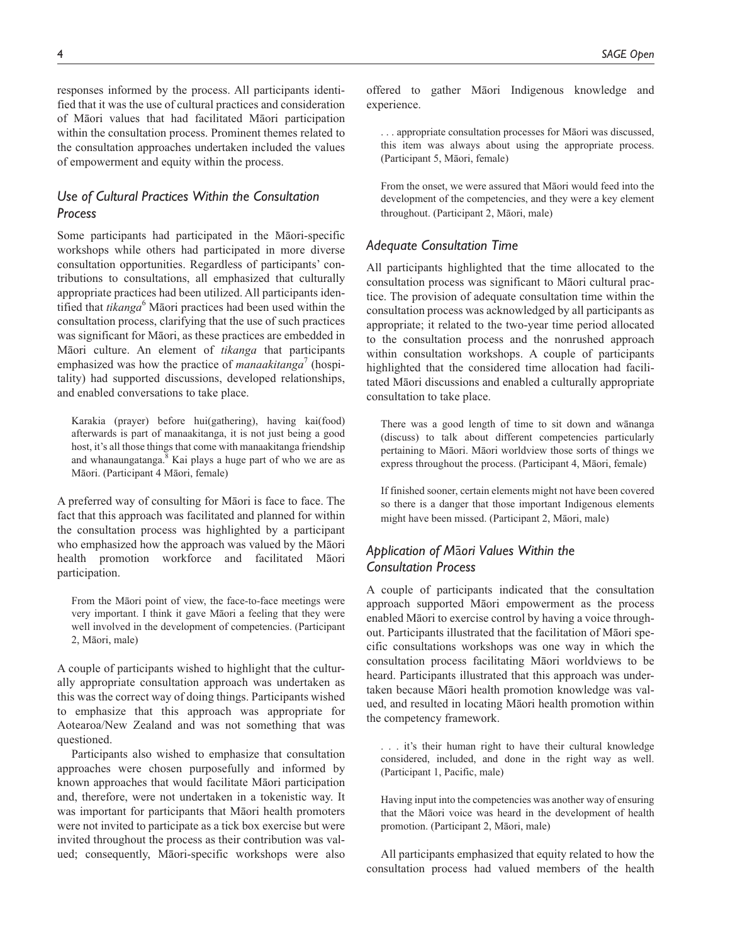responses informed by the process. All participants identified that it was the use of cultural practices and consideration of Māori values that had facilitated Māori participation within the consultation process. Prominent themes related to the consultation approaches undertaken included the values of empowerment and equity within the process.

# *Use of Cultural Practices Within the Consultation Process*

Some participants had participated in the Māori-specific workshops while others had participated in more diverse consultation opportunities. Regardless of participants' contributions to consultations, all emphasized that culturally appropriate practices had been utilized. All participants identified that *tikanga*<sup>6</sup> Māori practices had been used within the consultation process, clarifying that the use of such practices was significant for Māori, as these practices are embedded in Māori culture. An element of *tikanga* that participants emphasized was how the practice of *manaakitanga*<sup>7</sup> (hospitality) had supported discussions, developed relationships, and enabled conversations to take place.

Karakia (prayer) before hui(gathering), having kai(food) afterwards is part of manaakitanga, it is not just being a good host, it's all those things that come with manaakitanga friendship and whanaungatanga.<sup>8</sup> Kai plays a huge part of who we are as Māori. (Participant 4 Māori, female)

A preferred way of consulting for Māori is face to face. The fact that this approach was facilitated and planned for within the consultation process was highlighted by a participant who emphasized how the approach was valued by the Māori health promotion workforce and facilitated Māori participation.

From the Māori point of view, the face-to-face meetings were very important. I think it gave Māori a feeling that they were well involved in the development of competencies. (Participant 2, Māori, male)

A couple of participants wished to highlight that the culturally appropriate consultation approach was undertaken as this was the correct way of doing things. Participants wished to emphasize that this approach was appropriate for Aotearoa/New Zealand and was not something that was questioned.

Participants also wished to emphasize that consultation approaches were chosen purposefully and informed by known approaches that would facilitate Māori participation and, therefore, were not undertaken in a tokenistic way. It was important for participants that Māori health promoters were not invited to participate as a tick box exercise but were invited throughout the process as their contribution was valued; consequently, Māori-specific workshops were also . . . appropriate consultation processes for Māori was discussed, this item was always about using the appropriate process. (Participant 5, Māori, female)

From the onset, we were assured that Māori would feed into the development of the competencies, and they were a key element throughout. (Participant 2, Māori, male)

### *Adequate Consultation Time*

All participants highlighted that the time allocated to the consultation process was significant to Māori cultural practice. The provision of adequate consultation time within the consultation process was acknowledged by all participants as appropriate; it related to the two-year time period allocated to the consultation process and the nonrushed approach within consultation workshops. A couple of participants highlighted that the considered time allocation had facilitated Māori discussions and enabled a culturally appropriate consultation to take place.

There was a good length of time to sit down and wānanga (discuss) to talk about different competencies particularly pertaining to Māori. Māori worldview those sorts of things we express throughout the process. (Participant 4, Māori, female)

If finished sooner, certain elements might not have been covered so there is a danger that those important Indigenous elements might have been missed. (Participant 2, Māori, male)

# *Application of M*ā*ori Values Within the Consultation Process*

A couple of participants indicated that the consultation approach supported Māori empowerment as the process enabled Māori to exercise control by having a voice throughout. Participants illustrated that the facilitation of Māori specific consultations workshops was one way in which the consultation process facilitating Māori worldviews to be heard. Participants illustrated that this approach was undertaken because Māori health promotion knowledge was valued, and resulted in locating Māori health promotion within the competency framework.

. . . it's their human right to have their cultural knowledge considered, included, and done in the right way as well. (Participant 1, Pacific, male)

Having input into the competencies was another way of ensuring that the Māori voice was heard in the development of health promotion. (Participant 2, Māori, male)

All participants emphasized that equity related to how the consultation process had valued members of the health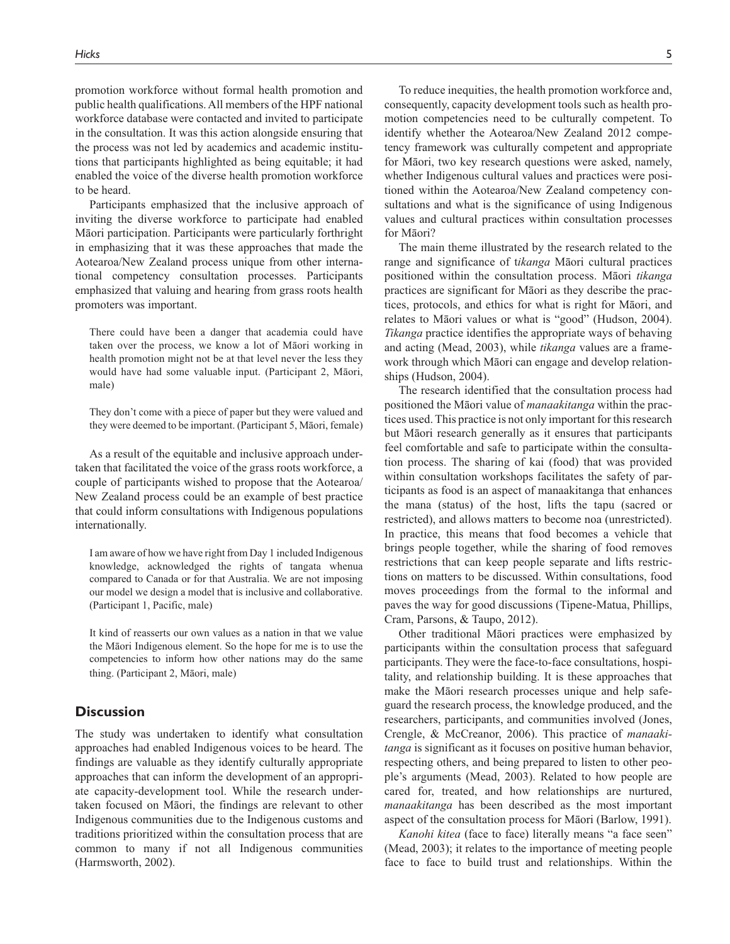promotion workforce without formal health promotion and public health qualifications. All members of the HPF national workforce database were contacted and invited to participate in the consultation. It was this action alongside ensuring that the process was not led by academics and academic institutions that participants highlighted as being equitable; it had enabled the voice of the diverse health promotion workforce to be heard.

Participants emphasized that the inclusive approach of inviting the diverse workforce to participate had enabled Māori participation. Participants were particularly forthright in emphasizing that it was these approaches that made the Aotearoa/New Zealand process unique from other international competency consultation processes. Participants emphasized that valuing and hearing from grass roots health promoters was important.

There could have been a danger that academia could have taken over the process, we know a lot of Māori working in health promotion might not be at that level never the less they would have had some valuable input. (Participant 2, Māori, male)

They don't come with a piece of paper but they were valued and they were deemed to be important. (Participant 5, Māori, female)

As a result of the equitable and inclusive approach undertaken that facilitated the voice of the grass roots workforce, a couple of participants wished to propose that the Aotearoa/ New Zealand process could be an example of best practice that could inform consultations with Indigenous populations internationally.

I am aware of how we have right from Day 1 included Indigenous knowledge, acknowledged the rights of tangata whenua compared to Canada or for that Australia. We are not imposing our model we design a model that is inclusive and collaborative. (Participant 1, Pacific, male)

It kind of reasserts our own values as a nation in that we value the Māori Indigenous element. So the hope for me is to use the competencies to inform how other nations may do the same thing. (Participant 2, Māori, male)

## **Discussion**

The study was undertaken to identify what consultation approaches had enabled Indigenous voices to be heard. The findings are valuable as they identify culturally appropriate approaches that can inform the development of an appropriate capacity-development tool. While the research undertaken focused on Māori, the findings are relevant to other Indigenous communities due to the Indigenous customs and traditions prioritized within the consultation process that are common to many if not all Indigenous communities (Harmsworth, 2002).

To reduce inequities, the health promotion workforce and, consequently, capacity development tools such as health promotion competencies need to be culturally competent. To identify whether the Aotearoa/New Zealand 2012 competency framework was culturally competent and appropriate for Māori, two key research questions were asked, namely, whether Indigenous cultural values and practices were positioned within the Aotearoa/New Zealand competency consultations and what is the significance of using Indigenous values and cultural practices within consultation processes for Māori?

The main theme illustrated by the research related to the range and significance of t*ikanga* Māori cultural practices positioned within the consultation process. Māori *tikanga* practices are significant for Māori as they describe the practices, protocols, and ethics for what is right for Māori, and relates to Māori values or what is "good" (Hudson, 2004). *Tikanga* practice identifies the appropriate ways of behaving and acting (Mead, 2003), while *tikanga* values are a framework through which Māori can engage and develop relationships (Hudson, 2004).

The research identified that the consultation process had positioned the Māori value of *manaakitanga* within the practices used. This practice is not only important for this research but Māori research generally as it ensures that participants feel comfortable and safe to participate within the consultation process. The sharing of kai (food) that was provided within consultation workshops facilitates the safety of participants as food is an aspect of manaakitanga that enhances the mana (status) of the host, lifts the tapu (sacred or restricted), and allows matters to become noa (unrestricted). In practice, this means that food becomes a vehicle that brings people together, while the sharing of food removes restrictions that can keep people separate and lifts restrictions on matters to be discussed. Within consultations, food moves proceedings from the formal to the informal and paves the way for good discussions (Tipene-Matua, Phillips, Cram, Parsons, & Taupo, 2012).

Other traditional Māori practices were emphasized by participants within the consultation process that safeguard participants. They were the face-to-face consultations, hospitality, and relationship building. It is these approaches that make the Māori research processes unique and help safeguard the research process, the knowledge produced, and the researchers, participants, and communities involved (Jones, Crengle, & McCreanor, 2006). This practice of *manaakitanga* is significant as it focuses on positive human behavior, respecting others, and being prepared to listen to other people's arguments (Mead, 2003). Related to how people are cared for, treated, and how relationships are nurtured, *manaakitanga* has been described as the most important aspect of the consultation process for Māori (Barlow, 1991).

*Kanohi kitea* (face to face) literally means "a face seen" (Mead, 2003); it relates to the importance of meeting people face to face to build trust and relationships. Within the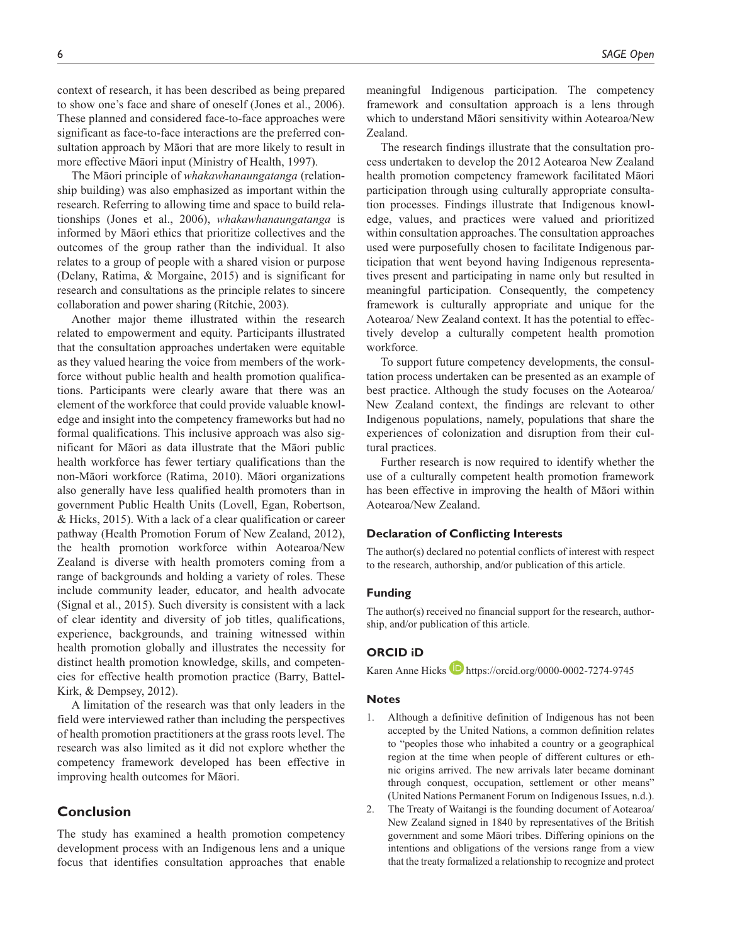context of research, it has been described as being prepared to show one's face and share of oneself (Jones et al., 2006). These planned and considered face-to-face approaches were significant as face-to-face interactions are the preferred consultation approach by Māori that are more likely to result in more effective Māori input (Ministry of Health, 1997).

The Māori principle of *whakawhanaungatanga* (relationship building) was also emphasized as important within the research. Referring to allowing time and space to build relationships (Jones et al., 2006), *whakawhanaungatanga* is informed by Māori ethics that prioritize collectives and the outcomes of the group rather than the individual. It also relates to a group of people with a shared vision or purpose (Delany, Ratima, & Morgaine, 2015) and is significant for research and consultations as the principle relates to sincere collaboration and power sharing (Ritchie, 2003).

Another major theme illustrated within the research related to empowerment and equity. Participants illustrated that the consultation approaches undertaken were equitable as they valued hearing the voice from members of the workforce without public health and health promotion qualifications. Participants were clearly aware that there was an element of the workforce that could provide valuable knowledge and insight into the competency frameworks but had no formal qualifications. This inclusive approach was also significant for Māori as data illustrate that the Māori public health workforce has fewer tertiary qualifications than the non-Māori workforce (Ratima, 2010). Māori organizations also generally have less qualified health promoters than in government Public Health Units (Lovell, Egan, Robertson, & Hicks, 2015). With a lack of a clear qualification or career pathway (Health Promotion Forum of New Zealand, 2012), the health promotion workforce within Aotearoa/New Zealand is diverse with health promoters coming from a range of backgrounds and holding a variety of roles. These include community leader, educator, and health advocate (Signal et al., 2015). Such diversity is consistent with a lack of clear identity and diversity of job titles, qualifications, experience, backgrounds, and training witnessed within health promotion globally and illustrates the necessity for distinct health promotion knowledge, skills, and competencies for effective health promotion practice (Barry, Battel-Kirk, & Dempsey, 2012).

A limitation of the research was that only leaders in the field were interviewed rather than including the perspectives of health promotion practitioners at the grass roots level. The research was also limited as it did not explore whether the competency framework developed has been effective in improving health outcomes for Māori.

## **Conclusion**

The study has examined a health promotion competency development process with an Indigenous lens and a unique focus that identifies consultation approaches that enable

meaningful Indigenous participation. The competency framework and consultation approach is a lens through which to understand Māori sensitivity within Aotearoa/New Zealand.

The research findings illustrate that the consultation process undertaken to develop the 2012 Aotearoa New Zealand health promotion competency framework facilitated Māori participation through using culturally appropriate consultation processes. Findings illustrate that Indigenous knowledge, values, and practices were valued and prioritized within consultation approaches. The consultation approaches used were purposefully chosen to facilitate Indigenous participation that went beyond having Indigenous representatives present and participating in name only but resulted in meaningful participation. Consequently, the competency framework is culturally appropriate and unique for the Aotearoa/ New Zealand context. It has the potential to effectively develop a culturally competent health promotion workforce.

To support future competency developments, the consultation process undertaken can be presented as an example of best practice. Although the study focuses on the Aotearoa/ New Zealand context, the findings are relevant to other Indigenous populations, namely, populations that share the experiences of colonization and disruption from their cultural practices.

Further research is now required to identify whether the use of a culturally competent health promotion framework has been effective in improving the health of Māori within Aotearoa/New Zealand.

#### **Declaration of Conflicting Interests**

The author(s) declared no potential conflicts of interest with respect to the research, authorship, and/or publication of this article.

#### **Funding**

The author(s) received no financial support for the research, authorship, and/or publication of this article.

#### **ORCID iD**

Karen Anne Hicks **iD** https://orcid.org/0000-0002-7274-9745

#### **Notes**

- 1. Although a definitive definition of Indigenous has not been accepted by the United Nations, a common definition relates to "peoples those who inhabited a country or a geographical region at the time when people of different cultures or ethnic origins arrived. The new arrivals later became dominant through conquest, occupation, settlement or other means" (United Nations Permanent Forum on Indigenous Issues, n.d.).
- 2. The Treaty of Waitangi is the founding document of Aotearoa/ New Zealand signed in 1840 by representatives of the British government and some Māori tribes. Differing opinions on the intentions and obligations of the versions range from a view that the treaty formalized a relationship to recognize and protect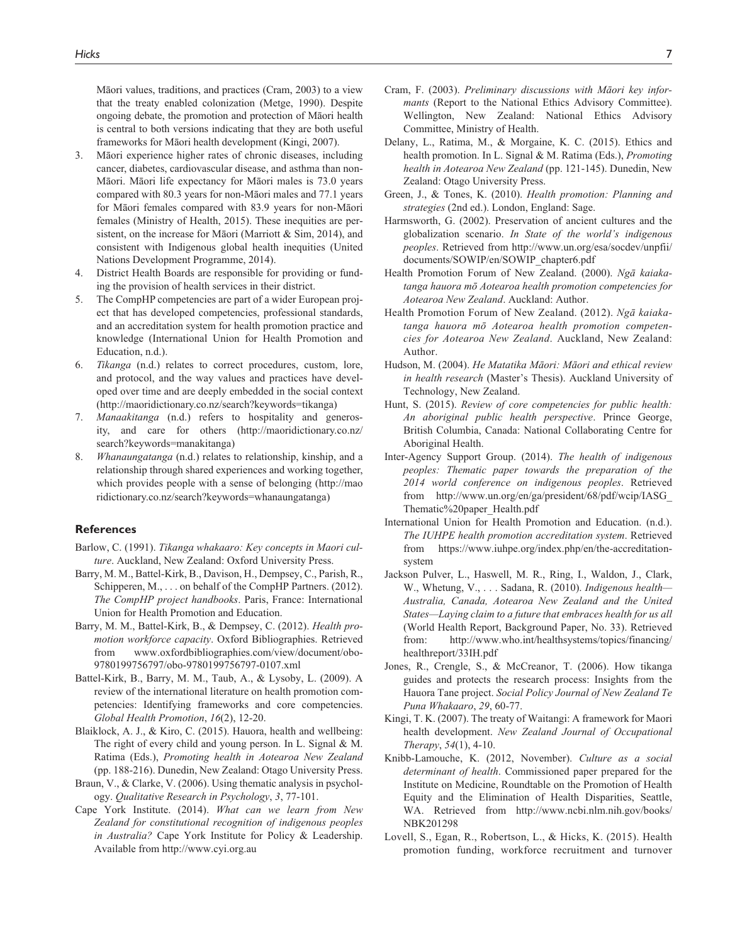Māori values, traditions, and practices (Cram, 2003) to a view that the treaty enabled colonization (Metge, 1990). Despite ongoing debate, the promotion and protection of Māori health is central to both versions indicating that they are both useful frameworks for Māori health development (Kingi, 2007).

- 3. Māori experience higher rates of chronic diseases, including cancer, diabetes, cardiovascular disease, and asthma than non-Māori. Māori life expectancy for Māori males is 73.0 years compared with 80.3 years for non-Māori males and 77.1 years for Māori females compared with 83.9 years for non-Māori females (Ministry of Health, 2015). These inequities are persistent, on the increase for Māori (Marriott & Sim, 2014), and consistent with Indigenous global health inequities (United Nations Development Programme, 2014).
- 4. District Health Boards are responsible for providing or funding the provision of health services in their district.
- 5. The CompHP competencies are part of a wider European project that has developed competencies, professional standards, and an accreditation system for health promotion practice and knowledge (International Union for Health Promotion and Education, n.d.).
- 6. *Tikanga* (n.d.) relates to correct procedures, custom, lore, and protocol, and the way values and practices have developed over time and are deeply embedded in the social context (http://maoridictionary.co.nz/search?keywords=tikanga)
- 7. *Manaakitanga* (n.d.) refers to hospitality and generosity, and care for others (http://maoridictionary.co.nz/ search?keywords=manakitanga)
- 8. *Whanaungatanga* (n.d.) relates to relationship, kinship, and a relationship through shared experiences and working together, which provides people with a sense of belonging (http://mao ridictionary.co.nz/search?keywords=whanaungatanga)

#### **References**

- Barlow, C. (1991). *Tikanga whakaaro: Key concepts in Maori culture*. Auckland, New Zealand: Oxford University Press.
- Barry, M. M., Battel-Kirk, B., Davison, H., Dempsey, C., Parish, R., Schipperen, M., ... on behalf of the CompHP Partners. (2012). *The CompHP project handbooks*. Paris, France: International Union for Health Promotion and Education.
- Barry, M. M., Battel-Kirk, B., & Dempsey, C. (2012). *Health promotion workforce capacity*. Oxford Bibliographies. Retrieved from www.oxfordbibliographies.com/view/document/obo-9780199756797/obo-9780199756797-0107.xml
- Battel-Kirk, B., Barry, M. M., Taub, A., & Lysoby, L. (2009). A review of the international literature on health promotion competencies: Identifying frameworks and core competencies. *Global Health Promotion*, *16*(2), 12-20.
- Blaiklock, A. J., & Kiro, C. (2015). Hauora, health and wellbeing: The right of every child and young person. In L. Signal & M. Ratima (Eds.), *Promoting health in Aotearoa New Zealand* (pp. 188-216). Dunedin, New Zealand: Otago University Press.
- Braun, V., & Clarke, V. (2006). Using thematic analysis in psychology. *Qualitative Research in Psychology*, *3*, 77-101.
- Cape York Institute. (2014). *What can we learn from New Zealand for constitutional recognition of indigenous peoples in Australia?* Cape York Institute for Policy & Leadership. Available from http://www.cyi.org.au
- Cram, F. (2003). *Preliminary discussions with Māori key informants* (Report to the National Ethics Advisory Committee). Wellington, New Zealand: National Ethics Advisory Committee, Ministry of Health.
- Delany, L., Ratima, M., & Morgaine, K. C. (2015). Ethics and health promotion. In L. Signal & M. Ratima (Eds.), *Promoting health in Aotearoa New Zealand* (pp. 121-145). Dunedin, New Zealand: Otago University Press.
- Green, J., & Tones, K. (2010). *Health promotion: Planning and strategies* (2nd ed.). London, England: Sage.
- Harmsworth, G. (2002). Preservation of ancient cultures and the globalization scenario. *In State of the world's indigenous peoples*. Retrieved from http://www.un.org/esa/socdev/unpfii/ documents/SOWIP/en/SOWIP\_chapter6.pdf
- Health Promotion Forum of New Zealand. (2000). *Ngā kaiakatanga hauora mō Aotearoa health promotion competencies for Aotearoa New Zealand*. Auckland: Author.
- Health Promotion Forum of New Zealand. (2012). *Ngā kaiakatanga hauora mō Aotearoa health promotion competencies for Aotearoa New Zealand*. Auckland, New Zealand: Author.
- Hudson, M. (2004). *He Matatika Māori: Māori and ethical review in health research* (Master's Thesis). Auckland University of Technology, New Zealand.
- Hunt, S. (2015). *Review of core competencies for public health: An aboriginal public health perspective*. Prince George, British Columbia, Canada: National Collaborating Centre for Aboriginal Health.
- Inter-Agency Support Group. (2014). *The health of indigenous peoples: Thematic paper towards the preparation of the 2014 world conference on indigenous peoples*. Retrieved from http://www.un.org/en/ga/president/68/pdf/wcip/IASG\_ Thematic%20paper\_Health.pdf
- International Union for Health Promotion and Education. (n.d.). *The IUHPE health promotion accreditation system*. Retrieved from https://www.iuhpe.org/index.php/en/the-accreditationsystem
- Jackson Pulver, L., Haswell, M. R., Ring, I., Waldon, J., Clark, W., Whetung, V., . . . Sadana, R. (2010). *Indigenous health— Australia, Canada, Aotearoa New Zealand and the United States—Laying claim to a future that embraces health for us all* (World Health Report, Background Paper, No. 33). Retrieved from: http://www.who.int/healthsystems/topics/financing/ healthreport/33IH.pdf
- Jones, R., Crengle, S., & McCreanor, T. (2006). How tikanga guides and protects the research process: Insights from the Hauora Tane project. *Social Policy Journal of New Zealand Te Puna Whakaaro*, *29*, 60-77.
- Kingi, T. K. (2007). The treaty of Waitangi: A framework for Maori health development. *New Zealand Journal of Occupational Therapy*, *54*(1), 4-10.
- Knibb-Lamouche, K. (2012, November). *Culture as a social determinant of health*. Commissioned paper prepared for the Institute on Medicine, Roundtable on the Promotion of Health Equity and the Elimination of Health Disparities, Seattle, WA. Retrieved from http://www.ncbi.nlm.nih.gov/books/ NBK201298
- Lovell, S., Egan, R., Robertson, L., & Hicks, K. (2015). Health promotion funding, workforce recruitment and turnover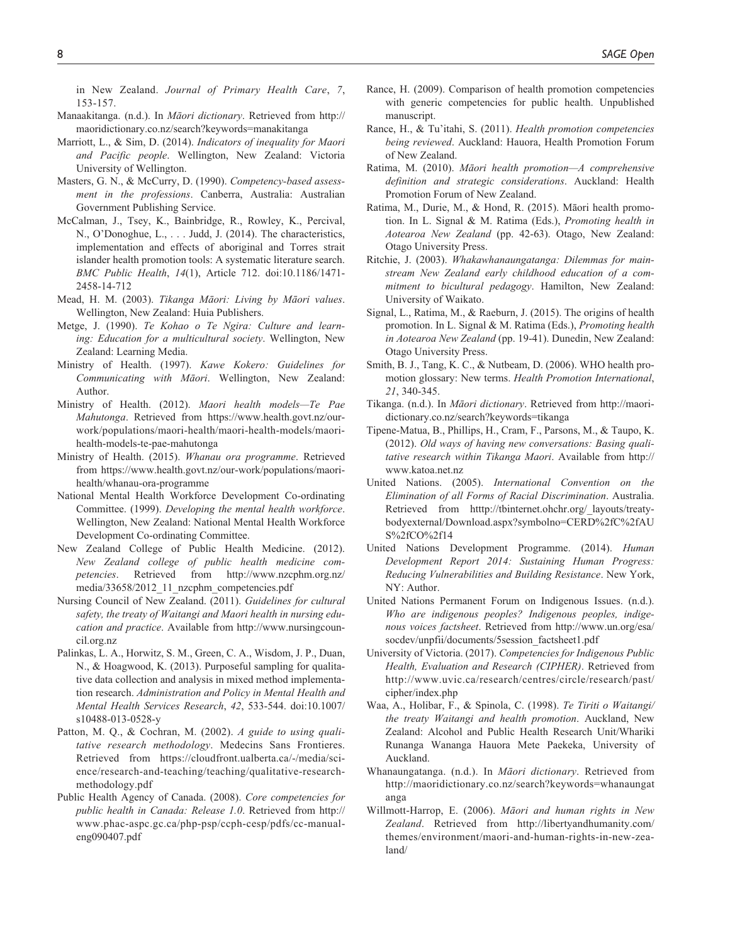in New Zealand. *Journal of Primary Health Care*, *7*, 153-157.

- Manaakitanga. (n.d.). In *Māori dictionary*. Retrieved from http:// maoridictionary.co.nz/search?keywords=manakitanga
- Marriott, L., & Sim, D. (2014). *Indicators of inequality for Maori and Pacific people*. Wellington, New Zealand: Victoria University of Wellington.
- Masters, G. N., & McCurry, D. (1990). *Competency-based assessment in the professions*. Canberra, Australia: Australian Government Publishing Service.
- McCalman, J., Tsey, K., Bainbridge, R., Rowley, K., Percival, N., O'Donoghue, L., . . . Judd, J. (2014). The characteristics, implementation and effects of aboriginal and Torres strait islander health promotion tools: A systematic literature search. *BMC Public Health*, *14*(1), Article 712. doi:10.1186/1471- 2458-14-712
- Mead, H. M. (2003). *Tikanga Māori: Living by Māori values*. Wellington, New Zealand: Huia Publishers.
- Metge, J. (1990). *Te Kohao o Te Ngira: Culture and learning: Education for a multicultural society*. Wellington, New Zealand: Learning Media.
- Ministry of Health. (1997). *Kawe Kokero: Guidelines for Communicating with Māori*. Wellington, New Zealand: Author.
- Ministry of Health. (2012). *Maori health models—Te Pae Mahutonga*. Retrieved from https://www.health.govt.nz/ourwork/populations/maori-health/maori-health-models/maorihealth-models-te-pae-mahutonga
- Ministry of Health. (2015). *Whanau ora programme*. Retrieved from https://www.health.govt.nz/our-work/populations/maorihealth/whanau-ora-programme
- National Mental Health Workforce Development Co-ordinating Committee. (1999). *Developing the mental health workforce*. Wellington, New Zealand: National Mental Health Workforce Development Co-ordinating Committee.
- New Zealand College of Public Health Medicine. (2012). *New Zealand college of public health medicine competencies*. Retrieved from http://www.nzcphm.org.nz/ media/33658/2012\_11\_nzcphm\_competencies.pdf
- Nursing Council of New Zealand. (2011). *Guidelines for cultural safety, the treaty of Waitangi and Maori health in nursing education and practice*. Available from http://www.nursingcouncil.org.nz
- Palinkas, L. A., Horwitz, S. M., Green, C. A., Wisdom, J. P., Duan, N., & Hoagwood, K. (2013). Purposeful sampling for qualitative data collection and analysis in mixed method implementation research. *Administration and Policy in Mental Health and Mental Health Services Research*, *42*, 533-544. doi:10.1007/ s10488-013-0528-y
- Patton, M. Q., & Cochran, M. (2002). *A guide to using qualitative research methodology*. Medecins Sans Frontieres. Retrieved from https://cloudfront.ualberta.ca/-/media/science/research-and-teaching/teaching/qualitative-researchmethodology.pdf
- Public Health Agency of Canada. (2008). *Core competencies for public health in Canada: Release 1.0*. Retrieved from http:// www.phac-aspc.gc.ca/php-psp/ccph-cesp/pdfs/cc-manualeng090407.pdf
- Rance, H. (2009). Comparison of health promotion competencies with generic competencies for public health. Unpublished manuscript.
- Rance, H., & Tu'itahi, S. (2011). *Health promotion competencies being reviewed*. Auckland: Hauora, Health Promotion Forum of New Zealand.
- Ratima, M. (2010). *Māori health promotion—A comprehensive definition and strategic considerations*. Auckland: Health Promotion Forum of New Zealand.
- Ratima, M., Durie, M., & Hond, R. (2015). Māori health promotion. In L. Signal & M. Ratima (Eds.), *Promoting health in Aotearoa New Zealand* (pp. 42-63). Otago, New Zealand: Otago University Press.
- Ritchie, J. (2003). *Whakawhanaungatanga: Dilemmas for mainstream New Zealand early childhood education of a commitment to bicultural pedagogy*. Hamilton, New Zealand: University of Waikato.
- Signal, L., Ratima, M., & Raeburn, J. (2015). The origins of health promotion. In L. Signal & M. Ratima (Eds.), *Promoting health in Aotearoa New Zealand* (pp. 19-41). Dunedin, New Zealand: Otago University Press.
- Smith, B. J., Tang, K. C., & Nutbeam, D. (2006). WHO health promotion glossary: New terms. *Health Promotion International*, *21*, 340-345.
- Tikanga. (n.d.). In *Māori dictionary*. Retrieved from http://maoridictionary.co.nz/search?keywords=tikanga
- Tipene-Matua, B., Phillips, H., Cram, F., Parsons, M., & Taupo, K. (2012). *Old ways of having new conversations: Basing qualitative research within Tikanga Maori*. Available from http:// www.katoa.net.nz
- United Nations. (2005). *International Convention on the Elimination of all Forms of Racial Discrimination*. Australia. Retrieved from htttp://tbinternet.ohchr.org/\_layouts/treatybodyexternal/Download.aspx?symbolno=CERD%2fC%2fAU S%2fCO%2f14
- United Nations Development Programme. (2014). *Human Development Report 2014: Sustaining Human Progress: Reducing Vulnerabilities and Building Resistance*. New York, NY: Author.
- United Nations Permanent Forum on Indigenous Issues. (n.d.). *Who are indigenous peoples? Indigenous peoples, indigenous voices factsheet*. Retrieved from http://www.un.org/esa/ socdev/unpfii/documents/5session\_factsheet1.pdf
- University of Victoria. (2017). *Competencies for Indigenous Public Health, Evaluation and Research (CIPHER)*. Retrieved from http://www.uvic.ca/research/centres/circle/research/past/ cipher/index.php
- Waa, A., Holibar, F., & Spinola, C. (1998). *Te Tiriti o Waitangi/ the treaty Waitangi and health promotion*. Auckland, New Zealand: Alcohol and Public Health Research Unit/Whariki Runanga Wananga Hauora Mete Paekeka, University of Auckland.
- Whanaungatanga. (n.d.). In *Māori dictionary*. Retrieved from http://maoridictionary.co.nz/search?keywords=whanaungat anga
- Willmott-Harrop, E. (2006). *Māori and human rights in New Zealand*. Retrieved from http://libertyandhumanity.com/ themes/environment/maori-and-human-rights-in-new-zealand/